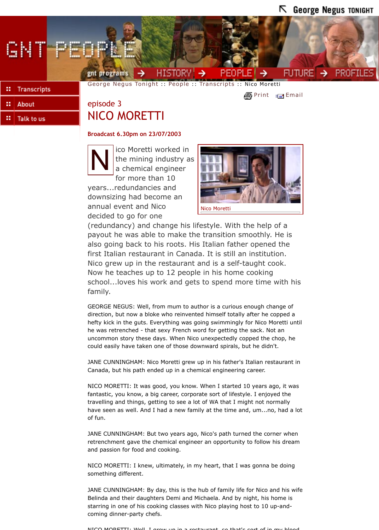## **Broadcast 6.30pm on 23/07/2003**



ico Moretti worked in the mining industry as a chemical engineer for more than 10

years...redundancies and downsizing had become an annual event [and Nico](http://www.abc.net.au/gnt/history/) [decided to go for one](http://www.abc.net.au/gnt/)



(redundancy) and cha[nge his](http://www.abc.net.au/gnt/people/) lif[estyle. Wit](http://www.abc.net.au/gnt/people/Transcripts/default.htm)h the help of a payout he was able to make the transition s[moothly](http://www.abc.net.au/cgi-bin/common/printfriendly.pl?http://www.abc.net.au/dimensions/dimensions_people/Transcripts/s908649.htm). [He is](http://www.abc.net.au/cgi-bin/common/mailto/mailto-nojs.pl) also going back to his roots. His Italian father opened the first Italian restaurant in Canada. It is still an institution. Nico grew up in the restaurant and is a self-taught cook. Now he teaches up to 12 people in his home cooking school...loves his work and gets to spend more time with his family.

GEORGE NEGUS: Well, from mum to author is a curious enough change of direction, but now a bloke who reinvented himself totally after he copped a hefty kick in the guts. Everything was going swimmingly for Nico Moretti until he was retrenched - that sexy French word for getting the sack. Not an uncommon story these days. When Nico unexpectedly copped the chop, he could easily have taken one of those downward spirals, but he didn't.

JANE CUNNINGHAM: Nico Moretti grew up in his father's Italian restaurant in Canada, but his path ended up in a chemical engineering career.

NICO MORETTI: It was good, you know. When I started 10 years ago, it was fantastic, you know, a big career, corporate sort of lifestyle. I enjoyed the travelling and things, getting to see a lot of WA that I might not normally have seen as well. And I had a new family at the time and, um...no, had a lot of fun.

JANE CUNNINGHAM: But two years ago, Nico's path turned the corner when retrenchment gave the chemical engineer an opportunity to follow his dream and passion for food and cooking.

NICO MORETTI: I knew, ultimately, in my heart, that I was gonna be doing something different.

JANE CUNNINGHAM: By day, this is the hub of family life for Nico and his wife Belinda and their daughters Demi and Michaela. And by night, his home is starring in one of his cooking classes with Nico playing host to 10 up-andcoming dinner-party chefs.

 $NICO$   $MOPETTI:$   $Moll$  I grow up in a restaurant, so that's sort of in my blood.